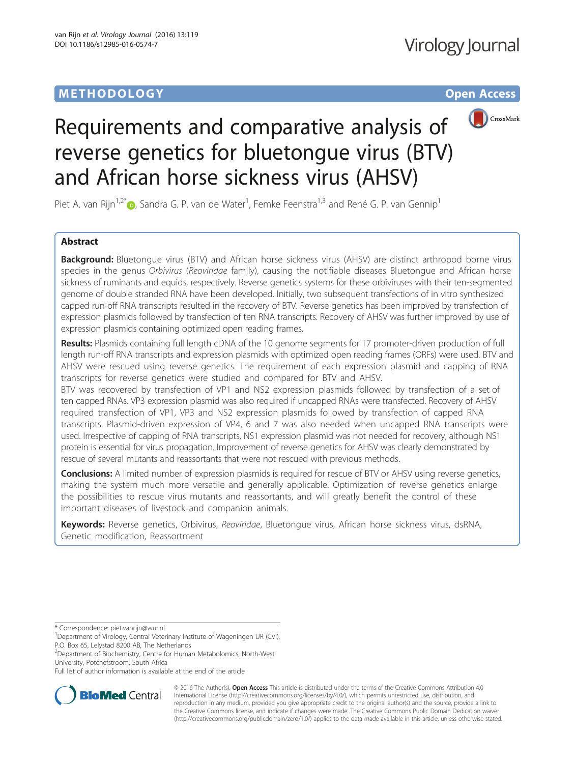# **METHODOLOGY CONSUMING ACCESS**



# Requirements and comparative analysis of reverse genetics for bluetongue virus (BTV) and African horse sickness virus (AHSV)

Piet A. van Rijn<sup>1,2[\\*](http://orcid.org/0000-0002-2594-1232)</sup>®, Sandra G. P. van de Water<sup>1</sup>, Femke Feenstra<sup>1,3</sup> and René G. P. van Gennip<sup>1</sup>

# Abstract

Background: Bluetongue virus (BTV) and African horse sickness virus (AHSV) are distinct arthropod borne virus species in the genus Orbivirus (Reoviridae family), causing the notifiable diseases Bluetongue and African horse sickness of ruminants and equids, respectively. Reverse genetics systems for these orbiviruses with their ten-segmented genome of double stranded RNA have been developed. Initially, two subsequent transfections of in vitro synthesized capped run-off RNA transcripts resulted in the recovery of BTV. Reverse genetics has been improved by transfection of expression plasmids followed by transfection of ten RNA transcripts. Recovery of AHSV was further improved by use of expression plasmids containing optimized open reading frames.

Results: Plasmids containing full length cDNA of the 10 genome segments for T7 promoter-driven production of full length run-off RNA transcripts and expression plasmids with optimized open reading frames (ORFs) were used. BTV and AHSV were rescued using reverse genetics. The requirement of each expression plasmid and capping of RNA transcripts for reverse genetics were studied and compared for BTV and AHSV.

BTV was recovered by transfection of VP1 and NS2 expression plasmids followed by transfection of a set of ten capped RNAs. VP3 expression plasmid was also required if uncapped RNAs were transfected. Recovery of AHSV required transfection of VP1, VP3 and NS2 expression plasmids followed by transfection of capped RNA transcripts. Plasmid-driven expression of VP4, 6 and 7 was also needed when uncapped RNA transcripts were used. Irrespective of capping of RNA transcripts, NS1 expression plasmid was not needed for recovery, although NS1 protein is essential for virus propagation. Improvement of reverse genetics for AHSV was clearly demonstrated by rescue of several mutants and reassortants that were not rescued with previous methods.

Conclusions: A limited number of expression plasmids is required for rescue of BTV or AHSV using reverse genetics, making the system much more versatile and generally applicable. Optimization of reverse genetics enlarge the possibilities to rescue virus mutants and reassortants, and will greatly benefit the control of these important diseases of livestock and companion animals.

Keywords: Reverse genetics, Orbivirus, Reoviridae, Bluetongue virus, African horse sickness virus, dsRNA, Genetic modification, Reassortment

\* Correspondence: [piet.vanrijn@wur.nl](mailto:piet.vanrijn@wur.nl) <sup>1</sup>

2 Department of Biochemistry, Centre for Human Metabolomics, North-West University, Potchefstroom, South Africa

Full list of author information is available at the end of the article



© 2016 The Author(s). Open Access This article is distributed under the terms of the Creative Commons Attribution 4.0 International License [\(http://creativecommons.org/licenses/by/4.0/](http://creativecommons.org/licenses/by/4.0/)), which permits unrestricted use, distribution, and reproduction in any medium, provided you give appropriate credit to the original author(s) and the source, provide a link to the Creative Commons license, and indicate if changes were made. The Creative Commons Public Domain Dedication waiver [\(http://creativecommons.org/publicdomain/zero/1.0/](http://creativecommons.org/publicdomain/zero/1.0/)) applies to the data made available in this article, unless otherwise stated.

<sup>&</sup>lt;sup>1</sup>Department of Virology, Central Veterinary Institute of Wageningen UR (CVI), P.O. Box 65, Lelystad 8200 AB, The Netherlands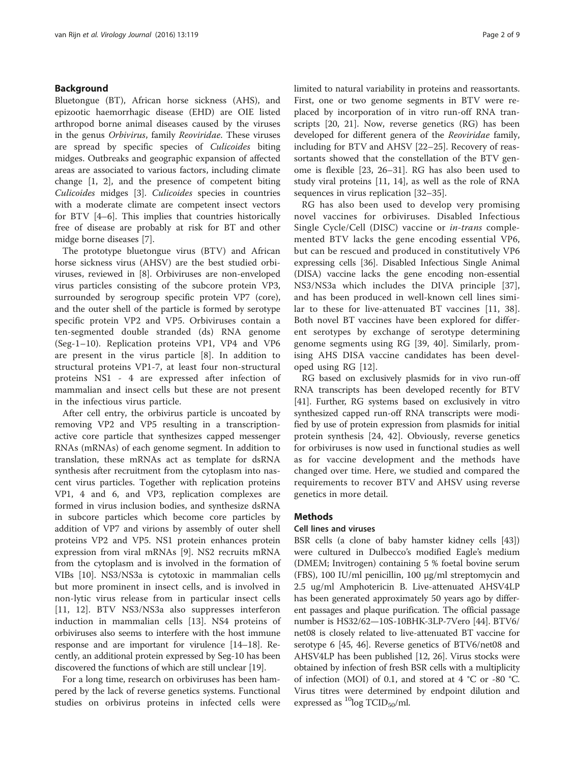# Background

Bluetongue (BT), African horse sickness (AHS), and epizootic haemorrhagic disease (EHD) are OIE listed arthropod borne animal diseases caused by the viruses in the genus Orbivirus, family Reoviridae. These viruses are spread by specific species of Culicoides biting midges. Outbreaks and geographic expansion of affected areas are associated to various factors, including climate change [\[1](#page-7-0), [2](#page-7-0)], and the presence of competent biting Culicoides midges [[3\]](#page-7-0). Culicoides species in countries with a moderate climate are competent insect vectors for BTV [\[4](#page-7-0)–[6](#page-7-0)]. This implies that countries historically free of disease are probably at risk for BT and other midge borne diseases [[7\]](#page-7-0).

The prototype bluetongue virus (BTV) and African horse sickness virus (AHSV) are the best studied orbiviruses, reviewed in [\[8](#page-7-0)]. Orbiviruses are non-enveloped virus particles consisting of the subcore protein VP3, surrounded by serogroup specific protein VP7 (core), and the outer shell of the particle is formed by serotype specific protein VP2 and VP5. Orbiviruses contain a ten-segmented double stranded (ds) RNA genome (Seg-1–10). Replication proteins VP1, VP4 and VP6 are present in the virus particle [[8](#page-7-0)]. In addition to structural proteins VP1-7, at least four non-structural proteins NS1 - 4 are expressed after infection of mammalian and insect cells but these are not present in the infectious virus particle.

After cell entry, the orbivirus particle is uncoated by removing VP2 and VP5 resulting in a transcriptionactive core particle that synthesizes capped messenger RNAs (mRNAs) of each genome segment. In addition to translation, these mRNAs act as template for dsRNA synthesis after recruitment from the cytoplasm into nascent virus particles. Together with replication proteins VP1, 4 and 6, and VP3, replication complexes are formed in virus inclusion bodies, and synthesize dsRNA in subcore particles which become core particles by addition of VP7 and virions by assembly of outer shell proteins VP2 and VP5. NS1 protein enhances protein expression from viral mRNAs [\[9](#page-7-0)]. NS2 recruits mRNA from the cytoplasm and is involved in the formation of VIBs [[10](#page-7-0)]. NS3/NS3a is cytotoxic in mammalian cells but more prominent in insect cells, and is involved in non-lytic virus release from in particular insect cells [[11, 12](#page-7-0)]. BTV NS3/NS3a also suppresses interferon induction in mammalian cells [\[13](#page-7-0)]. NS4 proteins of orbiviruses also seems to interfere with the host immune response and are important for virulence [\[14](#page-7-0)–[18](#page-7-0)]. Recently, an additional protein expressed by Seg-10 has been discovered the functions of which are still unclear [[19](#page-7-0)].

For a long time, research on orbiviruses has been hampered by the lack of reverse genetics systems. Functional studies on orbivirus proteins in infected cells were limited to natural variability in proteins and reassortants. First, one or two genome segments in BTV were replaced by incorporation of in vitro run-off RNA transcripts [[20, 21\]](#page-7-0). Now, reverse genetics (RG) has been developed for different genera of the Reoviridae family, including for BTV and AHSV [\[22](#page-7-0)–[25\]](#page-8-0). Recovery of reassortants showed that the constellation of the BTV genome is flexible [[23,](#page-7-0) [26](#page-8-0)–[31\]](#page-8-0). RG has also been used to study viral proteins [[11, 14](#page-7-0)], as well as the role of RNA sequences in virus replication [\[32](#page-8-0)–[35\]](#page-8-0).

RG has also been used to develop very promising novel vaccines for orbiviruses. Disabled Infectious Single Cycle/Cell (DISC) vaccine or in-trans complemented BTV lacks the gene encoding essential VP6, but can be rescued and produced in constitutively VP6 expressing cells [[36](#page-8-0)]. Disabled Infectious Single Animal (DISA) vaccine lacks the gene encoding non-essential NS3/NS3a which includes the DIVA principle [\[37](#page-8-0)], and has been produced in well-known cell lines similar to these for live-attenuated BT vaccines [[11,](#page-7-0) [38](#page-8-0)]. Both novel BT vaccines have been explored for different serotypes by exchange of serotype determining genome segments using RG [[39, 40](#page-8-0)]. Similarly, promising AHS DISA vaccine candidates has been developed using RG [[12\]](#page-7-0).

RG based on exclusively plasmids for in vivo run-off RNA transcripts has been developed recently for BTV [[41](#page-8-0)]. Further, RG systems based on exclusively in vitro synthesized capped run-off RNA transcripts were modified by use of protein expression from plasmids for initial protein synthesis [[24, 42\]](#page-8-0). Obviously, reverse genetics for orbiviruses is now used in functional studies as well as for vaccine development and the methods have changed over time. Here, we studied and compared the requirements to recover BTV and AHSV using reverse genetics in more detail.

# Methods

# Cell lines and viruses

BSR cells (a clone of baby hamster kidney cells [\[43](#page-8-0)]) were cultured in Dulbecco's modified Eagle's medium (DMEM; Invitrogen) containing 5 % foetal bovine serum (FBS), 100 IU/ml penicillin, 100 μg/ml streptomycin and 2.5 ug/ml Amphotericin B. Live-attenuated AHSV4LP has been generated approximately 50 years ago by different passages and plaque purification. The official passage number is HS32/62—10S-10BHK-3LP-7Vero [\[44\]](#page-8-0). BTV6/ net08 is closely related to live-attenuated BT vaccine for serotype 6 [[45](#page-8-0), [46\]](#page-8-0). Reverse genetics of BTV6/net08 and AHSV4LP has been published [[12](#page-7-0), [26](#page-8-0)]. Virus stocks were obtained by infection of fresh BSR cells with a multiplicity of infection (MOI) of 0.1, and stored at 4 °C or -80 °C. Virus titres were determined by endpoint dilution and expressed as  $^{10}$ log TCID<sub>50</sub>/ml.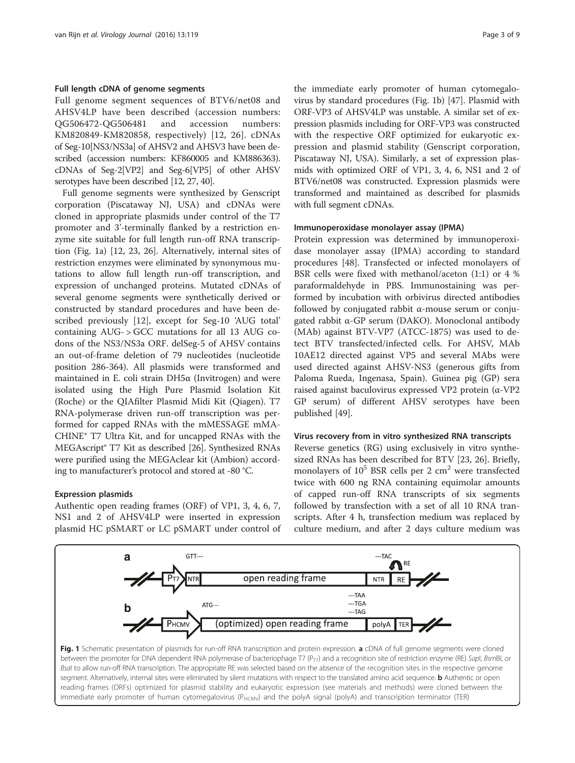#### Full length cDNA of genome segments

Full genome segment sequences of BTV6/net08 and AHSV4LP have been described (accession numbers: QG506472-QG506481 and accession numbers: KM820849-KM820858, respectively) [[12](#page-7-0), [26\]](#page-8-0). cDNAs of Seg-10[NS3/NS3a] of AHSV2 and AHSV3 have been described (accession numbers: KF860005 and KM886363). cDNAs of Seg-2[VP2] and Seg-6[VP5] of other AHSV serotypes have been described [[12](#page-7-0), [27](#page-8-0), [40](#page-8-0)].

Full genome segments were synthesized by Genscript corporation (Piscataway NJ, USA) and cDNAs were cloned in appropriate plasmids under control of the T7 promoter and 3'-terminally flanked by a restriction enzyme site suitable for full length run-off RNA transcription (Fig. 1a) [\[12](#page-7-0), [23](#page-7-0), [26\]](#page-8-0). Alternatively, internal sites of restriction enzymes were eliminated by synonymous mutations to allow full length run-off transcription, and expression of unchanged proteins. Mutated cDNAs of several genome segments were synthetically derived or constructed by standard procedures and have been described previously [\[12](#page-7-0)], except for Seg-10 'AUG total' containing AUG- > GCC mutations for all 13 AUG codons of the NS3/NS3a ORF. delSeg-5 of AHSV contains an out-of-frame deletion of 79 nucleotides (nucleotide position 286-364). All plasmids were transformed and maintained in E. coli strain  $DH5\alpha$  (Invitrogen) and were isolated using the High Pure Plasmid Isolation Kit (Roche) or the QIAfilter Plasmid Midi Kit (Qiagen). T7 RNA-polymerase driven run-off transcription was performed for capped RNAs with the mMESSAGE mMA-CHINE® T7 Ultra Kit, and for uncapped RNAs with the MEGAscript® T7 Kit as described [\[26](#page-8-0)]. Synthesized RNAs were purified using the MEGAclear kit (Ambion) according to manufacturer's protocol and stored at -80 °C.

# Expression plasmids

Authentic open reading frames (ORF) of VP1, 3, 4, 6, 7, NS1 and 2 of AHSV4LP were inserted in expression plasmid HC pSMART or LC pSMART under control of

the immediate early promoter of human cytomegalovirus by standard procedures (Fig. 1b) [\[47\]](#page-8-0). Plasmid with ORF-VP3 of AHSV4LP was unstable. A similar set of expression plasmids including for ORF-VP3 was constructed with the respective ORF optimized for eukaryotic expression and plasmid stability (Genscript corporation, Piscataway NJ, USA). Similarly, a set of expression plasmids with optimized ORF of VP1, 3, 4, 6, NS1 and 2 of BTV6/net08 was constructed. Expression plasmids were transformed and maintained as described for plasmids with full segment cDNAs.

#### Immunoperoxidase monolayer assay (IPMA)

Protein expression was determined by immunoperoxidase monolayer assay (IPMA) according to standard procedures [\[48](#page-8-0)]. Transfected or infected monolayers of BSR cells were fixed with methanol/aceton (1:1) or 4 % paraformaldehyde in PBS. Immunostaining was performed by incubation with orbivirus directed antibodies followed by conjugated rabbit α-mouse serum or conjugated rabbit α-GP serum (DAKO). Monoclonal antibody (MAb) against BTV-VP7 (ATCC-1875) was used to detect BTV transfected/infected cells. For AHSV, MAb 10AE12 directed against VP5 and several MAbs were used directed against AHSV-NS3 (generous gifts from Paloma Rueda, Ingenasa, Spain). Guinea pig (GP) sera raised against baculovirus expressed VP2 protein (α-VP2 GP serum) of different AHSV serotypes have been published [\[49](#page-8-0)].

# Virus recovery from in vitro synthesized RNA transcripts

Reverse genetics (RG) using exclusively in vitro synthesized RNAs has been described for BTV [[23,](#page-7-0) [26\]](#page-8-0). Briefly, monolayers of  $10^5$  BSR cells per 2 cm<sup>2</sup> were transfected twice with 600 ng RNA containing equimolar amounts of capped run-off RNA transcripts of six segments followed by transfection with a set of all 10 RNA transcripts. After 4 h, transfection medium was replaced by culture medium, and after 2 days culture medium was

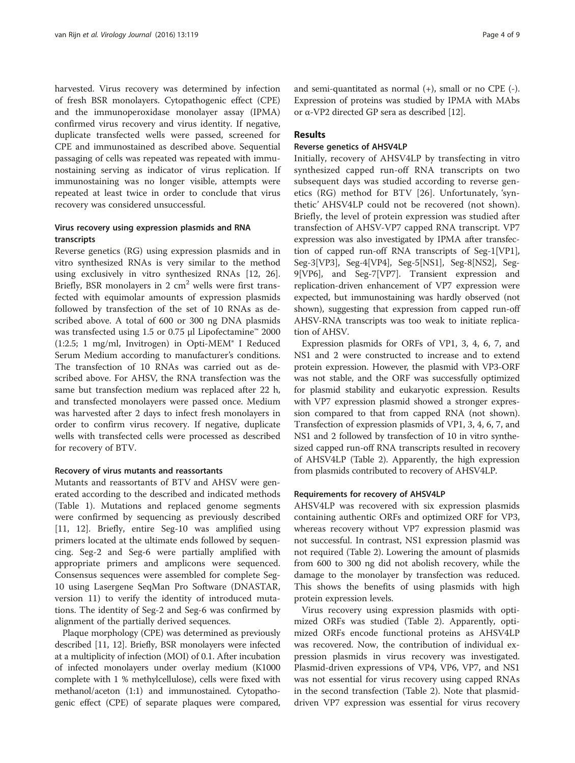harvested. Virus recovery was determined by infection of fresh BSR monolayers. Cytopathogenic effect (CPE) and the immunoperoxidase monolayer assay (IPMA) confirmed virus recovery and virus identity. If negative, duplicate transfected wells were passed, screened for CPE and immunostained as described above. Sequential passaging of cells was repeated was repeated with immunostaining serving as indicator of virus replication. If immunostaining was no longer visible, attempts were repeated at least twice in order to conclude that virus recovery was considered unsuccessful.

# Virus recovery using expression plasmids and RNA transcripts

Reverse genetics (RG) using expression plasmids and in vitro synthesized RNAs is very similar to the method using exclusively in vitro synthesized RNAs [[12,](#page-7-0) [26](#page-8-0)]. Briefly, BSR monolayers in 2  $\text{cm}^2$  wells were first transfected with equimolar amounts of expression plasmids followed by transfection of the set of 10 RNAs as described above. A total of 600 or 300 ng DNA plasmids was transfected using 1.5 or 0.75 μl Lipofectamine™ 2000 (1:2.5; 1 mg/ml, Invitrogen) in Opti-MEM® I Reduced Serum Medium according to manufacturer's conditions. The transfection of 10 RNAs was carried out as described above. For AHSV, the RNA transfection was the same but transfection medium was replaced after 22 h, and transfected monolayers were passed once. Medium was harvested after 2 days to infect fresh monolayers in order to confirm virus recovery. If negative, duplicate wells with transfected cells were processed as described for recovery of BTV.

# Recovery of virus mutants and reassortants

Mutants and reassortants of BTV and AHSV were generated according to the described and indicated methods (Table [1](#page-4-0)). Mutations and replaced genome segments were confirmed by sequencing as previously described [[11, 12\]](#page-7-0). Briefly, entire Seg-10 was amplified using primers located at the ultimate ends followed by sequencing. Seg-2 and Seg-6 were partially amplified with appropriate primers and amplicons were sequenced. Consensus sequences were assembled for complete Seg-10 using Lasergene SeqMan Pro Software (DNASTAR, version 11) to verify the identity of introduced mutations. The identity of Seg-2 and Seg-6 was confirmed by alignment of the partially derived sequences.

Plaque morphology (CPE) was determined as previously described [\[11, 12](#page-7-0)]. Briefly, BSR monolayers were infected at a multiplicity of infection (MOI) of 0.1. After incubation of infected monolayers under overlay medium (K1000 complete with 1 % methylcellulose), cells were fixed with methanol/aceton (1:1) and immunostained. Cytopathogenic effect (CPE) of separate plaques were compared, and semi-quantitated as normal (+), small or no CPE (-). Expression of proteins was studied by IPMA with MAbs or α-VP2 directed GP sera as described [\[12\]](#page-7-0).

# Results

# Reverse genetics of AHSV4LP

Initially, recovery of AHSV4LP by transfecting in vitro synthesized capped run-off RNA transcripts on two subsequent days was studied according to reverse genetics (RG) method for BTV [[26](#page-8-0)]. Unfortunately, 'synthetic' AHSV4LP could not be recovered (not shown). Briefly, the level of protein expression was studied after transfection of AHSV-VP7 capped RNA transcript. VP7 expression was also investigated by IPMA after transfection of capped run-off RNA transcripts of Seg-1[VP1], Seg-3[VP3], Seg-4[VP4], Seg-5[NS1], Seg-8[NS2], Seg-9[VP6], and Seg-7[VP7]. Transient expression and replication-driven enhancement of VP7 expression were expected, but immunostaining was hardly observed (not shown), suggesting that expression from capped run-off AHSV-RNA transcripts was too weak to initiate replication of AHSV.

Expression plasmids for ORFs of VP1, 3, 4, 6, 7, and NS1 and 2 were constructed to increase and to extend protein expression. However, the plasmid with VP3-ORF was not stable, and the ORF was successfully optimized for plasmid stability and eukaryotic expression. Results with VP7 expression plasmid showed a stronger expression compared to that from capped RNA (not shown). Transfection of expression plasmids of VP1, 3, 4, 6, 7, and NS1 and 2 followed by transfection of 10 in vitro synthesized capped run-off RNA transcripts resulted in recovery of AHSV4LP (Table [2\)](#page-5-0). Apparently, the high expression from plasmids contributed to recovery of AHSV4LP.

# Requirements for recovery of AHSV4LP

AHSV4LP was recovered with six expression plasmids containing authentic ORFs and optimized ORF for VP3, whereas recovery without VP7 expression plasmid was not successful. In contrast, NS1 expression plasmid was not required (Table [2\)](#page-5-0). Lowering the amount of plasmids from 600 to 300 ng did not abolish recovery, while the damage to the monolayer by transfection was reduced. This shows the benefits of using plasmids with high protein expression levels.

Virus recovery using expression plasmids with optimized ORFs was studied (Table [2\)](#page-5-0). Apparently, optimized ORFs encode functional proteins as AHSV4LP was recovered. Now, the contribution of individual expression plasmids in virus recovery was investigated. Plasmid-driven expressions of VP4, VP6, VP7, and NS1 was not essential for virus recovery using capped RNAs in the second transfection (Table [2\)](#page-5-0). Note that plasmiddriven VP7 expression was essential for virus recovery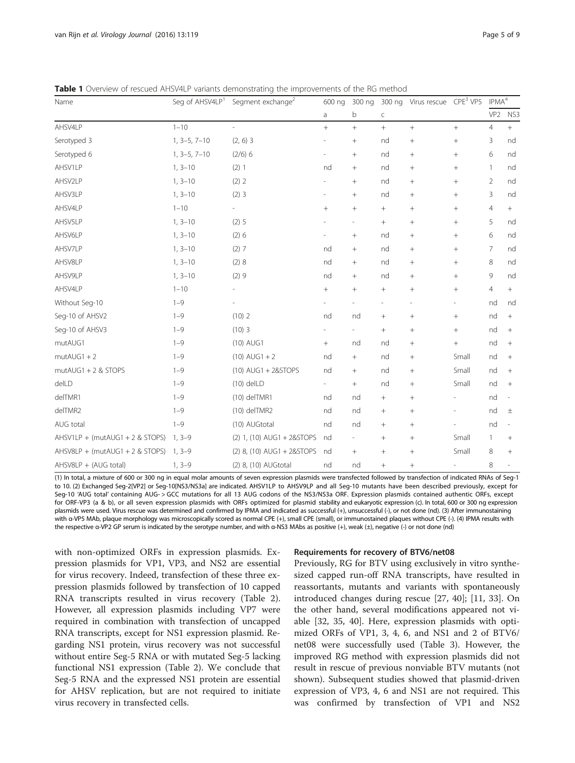<span id="page-4-0"></span>**Table 1** Overview of rescued AHSV4LP variants demonstrating the improvements of the RG method

| Name                            | Seg of AHSV4LP <sup>1</sup> | Segment exchange <sup>2</sup> | 600 ng          | 300 ng                   |                 | 300 ng Virus rescue | CPE <sup>3</sup> VP5 | IPMA <sup>4</sup> |                          |
|---------------------------------|-----------------------------|-------------------------------|-----------------|--------------------------|-----------------|---------------------|----------------------|-------------------|--------------------------|
|                                 |                             |                               | a               | b                        | $\subset$       |                     |                      | VP <sub>2</sub>   | NS3                      |
| AHSV4LP                         | $1 - 10$                    | $\overline{\phantom{a}}$      | $\ddot{}$       | $\boldsymbol{+}$         | $^{+}$          | $\! + \!$           | $^{+}$               | $\overline{4}$    | $\boldsymbol{+}$         |
| Serotyped 3                     | $1, 3-5, 7-10$              | $(2, 6)$ 3                    |                 | $\! + \!$                | nd              | $^{+}$              | $^{+}$               | 3                 | nd                       |
| Serotyped 6                     | $1, 3-5, 7-10$              | $(2/6)$ 6                     |                 |                          | nd              | $^{+}$              |                      | 6                 | nd                       |
| AHSV1LP                         | $1, 3 - 10$                 | (2) 1                         | nd              |                          | nd              | $^{+}$              | $^{+}$               | $\mathbf{1}$      | nd                       |
| AHSV2LP                         | $1, 3 - 10$                 | (2) 2                         |                 | $\! + \!$                | nd              | $^{+}$              | $^{+}$               | $\overline{2}$    | nd                       |
| AHSV3LP                         | $1, 3 - 10$                 | (2)3                          |                 |                          | nd              | $\! + \!\!\!\!$     |                      | 3                 | nd                       |
| AHSV4LP                         | $1 - 10$                    | $\overline{\phantom{a}}$      | $^{+}$          |                          | $^{+}$          | $^{+}$              | $^{+}$               | $\overline{4}$    | $\boldsymbol{+}$         |
| AHSV5LP                         | $1, 3 - 10$                 | (2) 5                         |                 | $\overline{a}$           | $^{+}$          | $^{+}$              | $^{+}$               | 5                 | nd                       |
| AHSV6LP                         | $1, 3 - 10$                 | (2)6                          |                 |                          | nd              | $\! + \!\!\!\!$     | $^{+}$               | 6                 | nd                       |
| AHSV7LP                         | $1, 3 - 10$                 | (2)7                          | nd              | $\! + \!\!\!\!$          | nd              | $^{+}$              | $^{+}$               | 7                 | nd                       |
| AHSV8LP                         | $1, 3 - 10$                 | (2)8                          | nd              |                          | nd              | $^{+}$              | $^{+}$               | 8                 | nd                       |
| AHSV9LP                         | $1, 3 - 10$                 | (2)9                          | nd              |                          | nd              | $^{+}$              | $^{+}$               | 9                 | nd                       |
| AHSV4LP                         | $1 - 10$                    |                               | $\! + \!\!\!\!$ | $\! + \!\!\!\!$          | $+$             | $^{+}$              |                      | $\overline{4}$    | $\boldsymbol{+}$         |
| Without Seg-10                  | $1 - 9$                     |                               |                 |                          |                 |                     |                      | nd                | nd                       |
| Seg-10 of AHSV2                 | $1 - 9$                     | (10) 2                        | nd              | nd                       | $^{+}$          | $^{+}$              | $\! + \!$            | nd                | $\boldsymbol{+}$         |
| Seg-10 of AHSV3                 | $1 - 9$                     | (10)3                         |                 | $\overline{\phantom{a}}$ | $^{+}$          | $^{+}$              | $^{+}$               | nd                | $\! + \!\!\!\!$          |
| mutAUG1                         | $1 - 9$                     | (10) AUG1                     | $+$             | nd                       | nd              | $^{+}$              | $^{+}$               | nd                | $^{+}$                   |
| $mutAUG1 + 2$                   | $1 - 9$                     | $(10)$ AUG1 + 2               | nd              | $+$                      | nd              | $^{+}$              | Small                | nd                | $^{+}$                   |
| mutAUG1 + 2 & STOPS             | $1 - 9$                     | $(10)$ AUG1 + 2&STOPS         | nd              | $\! + \!\!\!\!$          | nd              | $^{+}$              | Small                | nd                |                          |
| delLD                           | $1 - 9$                     | $(10)$ delLD                  |                 | $\! + \!$                | nd              | $^+$                | Small                | nd                |                          |
| delTMR1                         | $1 - 9$                     | $(10)$ delTMR1                | nd              | nd                       | $+$             | $^{+}$              |                      | nd                | $\overline{\phantom{a}}$ |
| delTMR2                         | $1 - 9$                     | $(10)$ delTMR2                | nd              | nd                       | $+$             | $^{+}$              | $\overline{a}$       | nd                | $\pm$                    |
| AUG total                       | $1 - 9$                     | (10) AUGtotal                 | nd              | nd                       | $^{+}$          | $^{+}$              |                      | nd                |                          |
| AHSV1LP + (mutAUG1 + 2 & STOPS) | $1, 3-9$                    | (2) 1, (10) AUG1 + 2&STOPS    | nd              | $\overline{\phantom{a}}$ | $\! + \!\!\!\!$ | $^{+}$              | Small                | $\mathbf{1}$      | $^{+}$                   |
| AHSV8LP + (mutAUG1 + 2 & STOPS) | $1, 3-9$                    | (2) 8, (10) AUG1 + 2&STOPS    | nd              | $^+$                     | $+$             | $^{+}$              | Small                | 8                 | $\! + \!\!\!\!$          |
| AHSV8LP + (AUG total)           | $1, 3-9$                    | (2) 8, (10) AUGtotal          | nd              | nd                       | $^{+}$          | $^{+}$              |                      | 8                 |                          |

(1) In total, a mixture of 600 or 300 ng in equal molar amounts of seven expression plasmids were transfected followed by transfection of indicated RNAs of Seg-1 to 10. (2) Exchanged Seg-2[VP2] or Seg-10[NS3/NS3a] are indicated. AHSV1LP to AHSV9LP and all Seg-10 mutants have been described previously, except for Seg-10 'AUG total' containing AUG- > GCC mutations for all 13 AUG codons of the NS3/NS3a ORF. Expression plasmids contained authentic ORFs, except for ORF-VP3 (a & b), or all seven expression plasmids with ORFs optimized for plasmid stability and eukaryotic expression (c). In total, 600 or 300 ng expression plasmids were used. Virus rescue was determined and confirmed by IPMA and indicated as successful (+), unsuccessful (-), or not done (nd). (3) After immunostaining with α-VP5 MAb, plaque morphology was microscopically scored as normal CPE (+), small CPE (small), or immunostained plaques without CPE (-). (4) IPMA results with the respective α-VP2 GP serum is indicated by the serotype number, and with α-NS3 MAbs as positive (+), weak (±), negative (-) or not done (nd)

with non-optimized ORFs in expression plasmids. Expression plasmids for VP1, VP3, and NS2 are essential for virus recovery. Indeed, transfection of these three expression plasmids followed by transfection of 10 capped RNA transcripts resulted in virus recovery (Table [2](#page-5-0)). However, all expression plasmids including VP7 were required in combination with transfection of uncapped RNA transcripts, except for NS1 expression plasmid. Regarding NS1 protein, virus recovery was not successful without entire Seg-5 RNA or with mutated Seg-5 lacking functional NS1 expression (Table [2](#page-5-0)). We conclude that Seg-5 RNA and the expressed NS1 protein are essential for AHSV replication, but are not required to initiate virus recovery in transfected cells.

# Requirements for recovery of BTV6/net08

Previously, RG for BTV using exclusively in vitro synthesized capped run-off RNA transcripts, have resulted in reassortants, mutants and variants with spontaneously introduced changes during rescue [[27, 40](#page-8-0)]; [[11,](#page-7-0) [33](#page-8-0)]. On the other hand, several modifications appeared not viable [[32, 35](#page-8-0), [40\]](#page-8-0). Here, expression plasmids with optimized ORFs of VP1, 3, 4, 6, and NS1 and 2 of BTV6/ net08 were successfully used (Table [3](#page-5-0)). However, the improved RG method with expression plasmids did not result in rescue of previous nonviable BTV mutants (not shown). Subsequent studies showed that plasmid-driven expression of VP3, 4, 6 and NS1 are not required. This was confirmed by transfection of VP1 and NS2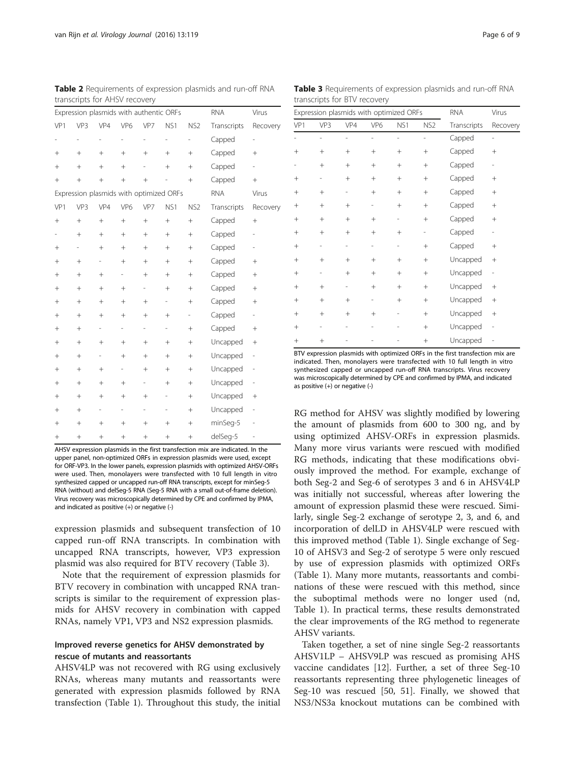<span id="page-5-0"></span>Table 2 Requirements of expression plasmids and run-off RNA transcripts for AHSV recovery

| Expression plasmids with authentic ORFs |                                         |                          |                          |                          |                          | <b>RNA</b>               | Virus       |                          |  |
|-----------------------------------------|-----------------------------------------|--------------------------|--------------------------|--------------------------|--------------------------|--------------------------|-------------|--------------------------|--|
| VP1                                     | VP3                                     | VP4                      | VP <sub>6</sub>          | VP7                      | NS1                      | NS <sub>2</sub>          | Transcripts | Recovery                 |  |
| -                                       | $\overline{\phantom{0}}$                | $\overline{\phantom{0}}$ | $\overline{\phantom{0}}$ | $\overline{\phantom{0}}$ | $\overline{a}$           | $\frac{1}{2}$            | Capped      |                          |  |
| $^{+}$                                  | $+$                                     | $+$                      | $^{+}$                   | $+$                      | $+$                      | $^{+}$                   | Capped      | $^{+}$                   |  |
| $^{+}$                                  | $^{+}$                                  | $+$                      | $^{+}$                   |                          | $^{+}$                   | $^{+}$                   | Capped      | $\overline{\phantom{a}}$ |  |
| $^+$                                    | $^{+}$                                  | $^{+}$                   | $+$                      | $+$                      |                          | $^{+}$                   | Capped      | $^{+}$                   |  |
|                                         | Expression plasmids with optimized ORFs |                          | <b>RNA</b>               | Virus                    |                          |                          |             |                          |  |
| VP1                                     | VP3                                     | VP4                      | VP <sub>6</sub>          | VP7                      | NS1                      | NS <sub>2</sub>          | Transcripts | Recovery                 |  |
| $^{+}$                                  | $^{+}$                                  | $+$                      | $+$                      |                          | $^{+}$                   | $^{+}$                   | Capped      |                          |  |
| -                                       | $\! + \!\!\!\!$                         | $+$                      | $+$                      | $+$                      | $+$                      | $^{+}$                   | Capped      | $\overline{\phantom{0}}$ |  |
| $^{+}$                                  | $\frac{1}{2}$                           | $+$                      | $^{+}$                   | $^{+}$                   | $^{+}$                   | $^{+}$                   | Capped      | $\overline{\phantom{a}}$ |  |
| $^{+}$                                  | $^{+}$                                  | $\overline{\phantom{0}}$ | $^{+}$                   | $+$                      | $^{+}$                   | $^{+}$                   | Capped      | $^{+}$                   |  |
| $^+$                                    | $^+$                                    | $+$                      | Ξ.                       | $^{+}$                   | $^{+}$                   | $^{+}$                   | Capped      | $^{+}$                   |  |
| $^{+}$                                  | $^{+}$                                  | $+$                      | $+$                      | $\overline{\phantom{0}}$ | $^{+}$                   | $^{+}$                   | Capped      | $^{+}$                   |  |
| $^{+}$                                  | $+$                                     | $+$                      | $^{+}$                   | $^{+}$                   | $\overline{\phantom{0}}$ | $^{+}$                   | Capped      | $^{+}$                   |  |
| $^{+}$                                  | $^{+}$                                  | $+$                      | $^{+}$                   |                          | $^{+}$                   | $\overline{\phantom{0}}$ | Capped      | $\frac{1}{2}$            |  |
| $^+$                                    | $^{+}$                                  | $\overline{\phantom{0}}$ | $\overline{\phantom{0}}$ | $\overline{\phantom{0}}$ | $\overline{\phantom{a}}$ | $^{+}$                   | Capped      | $^{+}$                   |  |
| $^{+}$                                  | $\! + \!\!\!\!$                         | $+$                      | $^{+}$                   | $^{+}$                   | $^{+}$                   | $^{+}$                   | Uncapped    | $^{+}$                   |  |
| $^{+}$                                  | $+$                                     | $\overline{\phantom{0}}$ | $^{+}$                   | $^{+}$                   | $^{+}$                   | $^{+}$                   | Uncapped    | $\overline{a}$           |  |
| $^{+}$                                  | $^{+}$                                  | $+$                      |                          |                          | $^{+}$                   | $^{+}$                   | Uncapped    |                          |  |
| $^{+}$                                  | $^{+}$                                  | $+$                      | $^{+}$                   | $\frac{1}{2}$            | $+$                      | $^{+}$                   | Uncapped    | $\overline{\phantom{0}}$ |  |
| $^{+}$                                  | $^{+}$                                  | $+$                      | $^{+}$                   | $^{+}$                   |                          | $^{+}$                   | Uncapped    | $^{+}$                   |  |
| $^{+}$                                  | $\! + \!\!\!\!$                         | $\overline{\phantom{m}}$ | $\overline{\phantom{0}}$ | $\overline{\phantom{m}}$ | Ξ.                       | $^{+}$                   | Uncapped    | -                        |  |
| $^{+}$                                  |                                         | $+$                      | $^{+}$                   | $\! + \!$                | $^{+}$                   | $^{+}$                   | minSeg-5    |                          |  |
| $^{+}$                                  | $^{+}$                                  | $^{+}$                   | $^{+}$                   | $+$                      | $^{+}$                   | $+$                      | delSea-5    | $\overline{a}$           |  |

AHSV expression plasmids in the first transfection mix are indicated. In the upper panel, non-optimized ORFs in expression plasmids were used, except for ORF-VP3. In the lower panels, expression plasmids with optimized AHSV-ORFs were used. Then, monolayers were transfected with 10 full length in vitro synthesized capped or uncapped run-off RNA transcripts, except for minSeg-5 RNA (without) and delSeg-5 RNA (Seg-5 RNA with a small out-of-frame deletion). Virus recovery was microscopically determined by CPE and confirmed by IPMA, and indicated as positive (+) or negative (-)

expression plasmids and subsequent transfection of 10 capped run-off RNA transcripts. In combination with uncapped RNA transcripts, however, VP3 expression plasmid was also required for BTV recovery (Table 3).

Note that the requirement of expression plasmids for BTV recovery in combination with uncapped RNA transcripts is similar to the requirement of expression plasmids for AHSV recovery in combination with capped RNAs, namely VP1, VP3 and NS2 expression plasmids.

# Improved reverse genetics for AHSV demonstrated by rescue of mutants and reassortants

AHSV4LP was not recovered with RG using exclusively RNAs, whereas many mutants and reassortants were generated with expression plasmids followed by RNA transfection (Table [1\)](#page-4-0). Throughout this study, the initial

| $^{+}$ | $^{+}$ |        | $^{+}$ | $\! + \!\!\!\!$ | $^{+}$ | Capped   | $^{+}$                   |
|--------|--------|--------|--------|-----------------|--------|----------|--------------------------|
| $+$    | $+$    | $^{+}$ |        | $^{+}$          | $^{+}$ | Capped   | $+$                      |
| $^{+}$ | $^{+}$ | $^{+}$ | $^{+}$ |                 | $^{+}$ | Capped   | $^{+}$                   |
| $^{+}$ | $^{+}$ | $^{+}$ | $^{+}$ | $^{+}$          |        | Capped   |                          |
| $^{+}$ |        |        |        |                 | $^{+}$ | Capped   | $^{+}$                   |
| $+$    | $+$    | $^{+}$ | $^{+}$ | $^{+}$          | $^{+}$ | Uncapped | $\! + \!\!\!\!$          |
| $+$    |        | $^{+}$ | $^{+}$ | $^{+}$          | $^{+}$ | Uncapped | $\overline{\phantom{0}}$ |
| $^{+}$ | $^{+}$ |        | $^{+}$ | $^{+}$          | $^{+}$ | Uncapped | $^{+}$                   |

Table 3 Requirements of expression plasmids and run-off RNA transcripts for BTV recovery Expression plasmids with optimized ORFs RNA Virus

VP1 VP3 VP4 VP6 NS1 NS2 Transcripts Recovery - - - - - - - - - - Capped -+ + + + + + Capped +  $+$   $+$   $+$   $+$   $+$  Capped  $+$  -  $+$   $+$   $+$   $+$   $+$  Capped

BTV expression plasmids with optimized ORFs in the first transfection mix are indicated. Then, monolayers were transfected with 10 full length in vitro synthesized capped or uncapped run-off RNA transcripts. Virus recovery was microscopically determined by CPE and confirmed by IPMA, and indicated as positive (+) or negative (-)

Uncapped Uncapped

+ + + - + + Uncapped + + + + + - + Uncapped +

RG method for AHSV was slightly modified by lowering the amount of plasmids from 600 to 300 ng, and by using optimized AHSV-ORFs in expression plasmids. Many more virus variants were rescued with modified RG methods, indicating that these modifications obviously improved the method. For example, exchange of both Seg-2 and Seg-6 of serotypes 3 and 6 in AHSV4LP was initially not successful, whereas after lowering the amount of expression plasmid these were rescued. Similarly, single Seg-2 exchange of serotype 2, 3, and 6, and incorporation of delLD in AHSV4LP were rescued with this improved method (Table [1\)](#page-4-0). Single exchange of Seg-10 of AHSV3 and Seg-2 of serotype 5 were only rescued by use of expression plasmids with optimized ORFs (Table [1\)](#page-4-0). Many more mutants, reassortants and combinations of these were rescued with this method, since the suboptimal methods were no longer used (nd, Table [1\)](#page-4-0). In practical terms, these results demonstrated the clear improvements of the RG method to regenerate AHSV variants.

Taken together, a set of nine single Seg-2 reassortants AHSV1LP – AHSV9LP was rescued as promising AHS vaccine candidates [[12](#page-7-0)]. Further, a set of three Seg-10 reassortants representing three phylogenetic lineages of Seg-10 was rescued [[50, 51\]](#page-8-0). Finally, we showed that NS3/NS3a knockout mutations can be combined with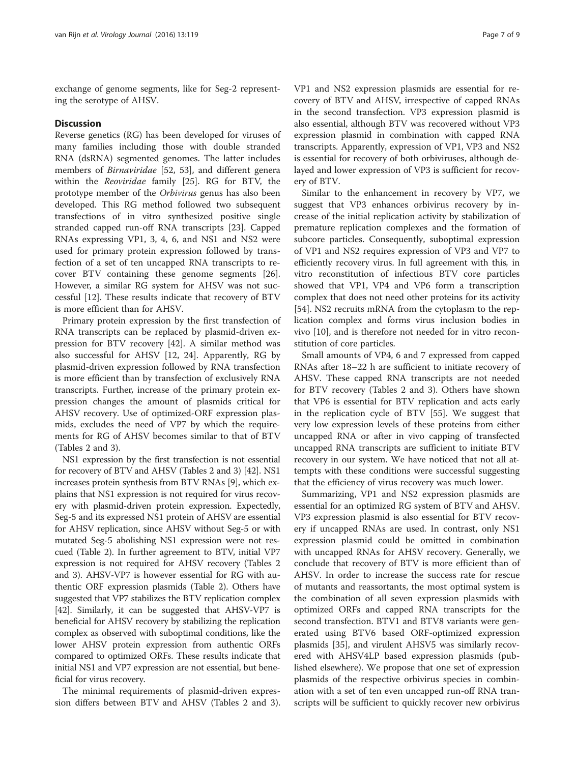exchange of genome segments, like for Seg-2 representing the serotype of AHSV.

# **Discussion**

Reverse genetics (RG) has been developed for viruses of many families including those with double stranded RNA (dsRNA) segmented genomes. The latter includes members of *Birnaviridae* [[52, 53\]](#page-8-0), and different genera within the Reoviridae family [[25\]](#page-8-0). RG for BTV, the prototype member of the Orbivirus genus has also been developed. This RG method followed two subsequent transfections of in vitro synthesized positive single stranded capped run-off RNA transcripts [[23\]](#page-7-0). Capped RNAs expressing VP1, 3, 4, 6, and NS1 and NS2 were used for primary protein expression followed by transfection of a set of ten uncapped RNA transcripts to recover BTV containing these genome segments [\[26](#page-8-0)]. However, a similar RG system for AHSV was not successful [\[12](#page-7-0)]. These results indicate that recovery of BTV is more efficient than for AHSV.

Primary protein expression by the first transfection of RNA transcripts can be replaced by plasmid-driven expression for BTV recovery [[42\]](#page-8-0). A similar method was also successful for AHSV [[12,](#page-7-0) [24](#page-8-0)]. Apparently, RG by plasmid-driven expression followed by RNA transfection is more efficient than by transfection of exclusively RNA transcripts. Further, increase of the primary protein expression changes the amount of plasmids critical for AHSV recovery. Use of optimized-ORF expression plasmids, excludes the need of VP7 by which the requirements for RG of AHSV becomes similar to that of BTV (Tables [2](#page-5-0) and [3\)](#page-5-0).

NS1 expression by the first transfection is not essential for recovery of BTV and AHSV (Tables [2](#page-5-0) and [3\)](#page-5-0) [[42](#page-8-0)]. NS1 increases protein synthesis from BTV RNAs [[9\]](#page-7-0), which explains that NS1 expression is not required for virus recovery with plasmid-driven protein expression. Expectedly, Seg-5 and its expressed NS1 protein of AHSV are essential for AHSV replication, since AHSV without Seg-5 or with mutated Seg-5 abolishing NS1 expression were not rescued (Table [2\)](#page-5-0). In further agreement to BTV, initial VP7 expression is not required for AHSV recovery (Tables [2](#page-5-0) and [3](#page-5-0)). AHSV-VP7 is however essential for RG with authentic ORF expression plasmids (Table [2](#page-5-0)). Others have suggested that VP7 stabilizes the BTV replication complex [[42](#page-8-0)]. Similarly, it can be suggested that AHSV-VP7 is beneficial for AHSV recovery by stabilizing the replication complex as observed with suboptimal conditions, like the lower AHSV protein expression from authentic ORFs compared to optimized ORFs. These results indicate that initial NS1 and VP7 expression are not essential, but beneficial for virus recovery.

The minimal requirements of plasmid-driven expression differs between BTV and AHSV (Tables [2](#page-5-0) and [3](#page-5-0)).

VP1 and NS2 expression plasmids are essential for recovery of BTV and AHSV, irrespective of capped RNAs in the second transfection. VP3 expression plasmid is also essential, although BTV was recovered without VP3 expression plasmid in combination with capped RNA transcripts. Apparently, expression of VP1, VP3 and NS2 is essential for recovery of both orbiviruses, although delayed and lower expression of VP3 is sufficient for recovery of BTV.

Similar to the enhancement in recovery by VP7, we suggest that VP3 enhances orbivirus recovery by increase of the initial replication activity by stabilization of premature replication complexes and the formation of subcore particles. Consequently, suboptimal expression of VP1 and NS2 requires expression of VP3 and VP7 to efficiently recovery virus. In full agreement with this, in vitro reconstitution of infectious BTV core particles showed that VP1, VP4 and VP6 form a transcription complex that does not need other proteins for its activity [[54\]](#page-8-0). NS2 recruits mRNA from the cytoplasm to the replication complex and forms virus inclusion bodies in vivo [[10\]](#page-7-0), and is therefore not needed for in vitro reconstitution of core particles.

Small amounts of VP4, 6 and 7 expressed from capped RNAs after 18–22 h are sufficient to initiate recovery of AHSV. These capped RNA transcripts are not needed for BTV recovery (Tables [2](#page-5-0) and [3](#page-5-0)). Others have shown that VP6 is essential for BTV replication and acts early in the replication cycle of BTV [[55\]](#page-8-0). We suggest that very low expression levels of these proteins from either uncapped RNA or after in vivo capping of transfected uncapped RNA transcripts are sufficient to initiate BTV recovery in our system. We have noticed that not all attempts with these conditions were successful suggesting that the efficiency of virus recovery was much lower.

Summarizing, VP1 and NS2 expression plasmids are essential for an optimized RG system of BTV and AHSV. VP3 expression plasmid is also essential for BTV recovery if uncapped RNAs are used. In contrast, only NS1 expression plasmid could be omitted in combination with uncapped RNAs for AHSV recovery. Generally, we conclude that recovery of BTV is more efficient than of AHSV. In order to increase the success rate for rescue of mutants and reassortants, the most optimal system is the combination of all seven expression plasmids with optimized ORFs and capped RNA transcripts for the second transfection. BTV1 and BTV8 variants were generated using BTV6 based ORF-optimized expression plasmids [\[35](#page-8-0)], and virulent AHSV5 was similarly recovered with AHSV4LP based expression plasmids (published elsewhere). We propose that one set of expression plasmids of the respective orbivirus species in combination with a set of ten even uncapped run-off RNA transcripts will be sufficient to quickly recover new orbivirus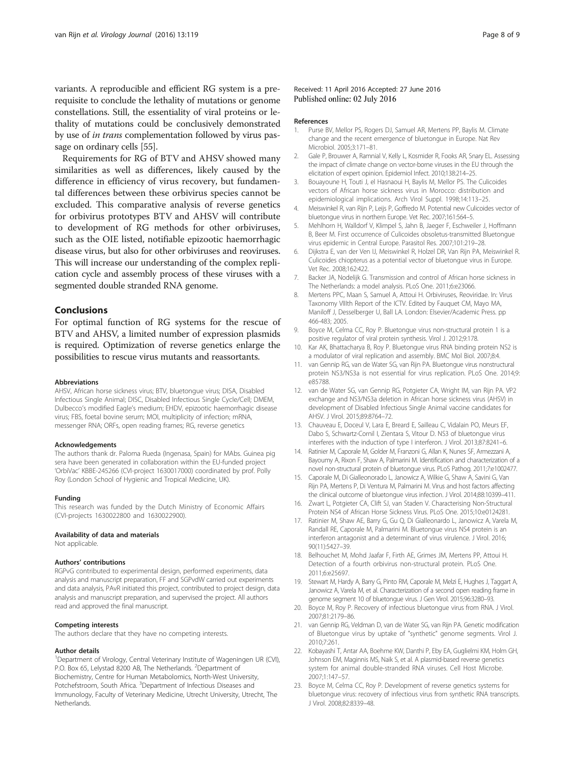<span id="page-7-0"></span>variants. A reproducible and efficient RG system is a prerequisite to conclude the lethality of mutations or genome constellations. Still, the essentiality of viral proteins or lethality of mutations could be conclusively demonstrated by use of in trans complementation followed by virus passage on ordinary cells [[55](#page-8-0)].

Requirements for RG of BTV and AHSV showed many similarities as well as differences, likely caused by the difference in efficiency of virus recovery, but fundamental differences between these orbivirus species cannot be excluded. This comparative analysis of reverse genetics for orbivirus prototypes BTV and AHSV will contribute to development of RG methods for other orbiviruses, such as the OIE listed, notifiable epizootic haemorrhagic disease virus, but also for other orbiviruses and reoviruses. This will increase our understanding of the complex replication cycle and assembly process of these viruses with a segmented double stranded RNA genome.

# Conclusions

For optimal function of RG systems for the rescue of BTV and AHSV, a limited number of expression plasmids is required. Optimization of reverse genetics enlarge the possibilities to rescue virus mutants and reassortants.

#### Abbreviations

AHSV, African horse sickness virus; BTV, bluetongue virus; DISA, Disabled Infectious Single Animal; DISC, Disabled Infectious Single Cycle/Cell; DMEM, Dulbecco's modified Eagle's medium; EHDV, epizootic haemorrhagic disease virus; FBS, foetal bovine serum; MOI, multiplicity of infection; mRNA, messenger RNA; ORFs, open reading frames; RG, reverse genetics

#### Acknowledgements

The authors thank dr. Paloma Rueda (Ingenasa, Spain) for MAbs. Guinea pig sera have been generated in collaboration within the EU-funded project 'OrbiVac' KBBE-245266 (CVI-project 1630017000) coordinated by prof. Polly Roy (London School of Hygienic and Tropical Medicine, UK).

#### Funding

This research was funded by the Dutch Ministry of Economic Affairs (CVI-projects 1630022800 and 1630022900).

# Availability of data and materials

Not applicable.

# Authors' contributions

RGPvG contributed to experimental design, performed experiments, data analysis and manuscript preparation, FF and SGPvdW carried out experiments and data analysis, PAvR initiated this project, contributed to project design, data analysis and manuscript preparation, and supervised the project. All authors read and approved the final manuscript.

#### Competing interests

The authors declare that they have no competing interests.

#### Author details

<sup>1</sup>Department of Virology, Central Veterinary Institute of Wageningen UR (CVI), P.O. Box 65, Lelystad 8200 AB, The Netherlands. <sup>2</sup>Department of Biochemistry, Centre for Human Metabolomics, North-West University, Potchefstroom, South Africa. <sup>3</sup>Department of Infectious Diseases and Immunology, Faculty of Veterinary Medicine, Utrecht University, Utrecht, The Netherlands.

# Received: 11 April 2016 Accepted: 27 June 2016 Published online: 02 July 2016

#### References

- 1. Purse BV, Mellor PS, Rogers DJ, Samuel AR, Mertens PP, Baylis M. Climate change and the recent emergence of bluetongue in Europe. Nat Rev Microbiol. 2005;3:171–81.
- 2. Gale P, Brouwer A, Ramnial V, Kelly L, Kosmider R, Fooks AR, Snary EL. Assessing the impact of climate change on vector-borne viruses in the EU through the elicitation of expert opinion. Epidemiol Infect. 2010;138:214–25.
- 3. Bouayoune H, Touti J, el Hasnaoui H, Baylis M, Mellor PS. The Culicoides vectors of African horse sickness virus in Morocco: distribution and epidemiological implications. Arch Virol Suppl. 1998;14:113–25.
- 4. Meiswinkel R, van Rijn P, Leijs P, Goffredo M. Potential new Culicoides vector of bluetongue virus in northern Europe. Vet Rec. 2007;161:564–5.
- 5. Mehlhorn H, Walldorf V, Klimpel S, Jahn B, Jaeger F, Eschweiler J, Hoffmann B, Beer M. First occurrence of Culicoides obsoletus-transmitted Bluetongue virus epidemic in Central Europe. Parasitol Res. 2007;101:219–28.
- 6. Dijkstra E, van der Ven IJ, Meiswinkel R, Holzel DR, Van Rijn PA, Meiswinkel R. Culicoides chiopterus as a potential vector of bluetongue virus in Europe. Vet Rec. 2008;162:422.
- 7. Backer JA, Nodelijk G. Transmission and control of African horse sickness in The Netherlands: a model analysis. PLoS One. 2011;6:e23066.
- 8. Mertens PPC, Maan S, Samuel A, Attoui H. Orbiviruses, Reoviridae. In: Virus Taxonomy VIIIth Report of the ICTV. Edited by Fauquet CM, Mayo MA, Maniloff J, Desselberger U, Ball LA. London: Elsevier/Academic Press. pp 466-483; 2005.
- 9. Boyce M, Celma CC, Roy P. Bluetongue virus non-structural protein 1 is a positive regulator of viral protein synthesis. Virol J. 2012;9:178.
- 10. Kar AK, Bhattacharya B, Roy P. Bluetongue virus RNA binding protein NS2 is a modulator of viral replication and assembly. BMC Mol Biol. 2007;8:4.
- 11. van Gennip RG, van de Water SG, van Rijn PA. Bluetongue virus nonstructural protein NS3/NS3a is not essential for virus replication. PLoS One. 2014;9: e85788.
- 12. van de Water SG, van Gennip RG, Potgieter CA, Wright IM, van Rijn PA. VP2 exchange and NS3/NS3a deletion in African horse sickness virus (AHSV) in development of Disabled Infectious Single Animal vaccine candidates for AHSV. J Virol. 2015;89:8764–72.
- 13. Chauveau E, Doceul V, Lara E, Breard E, Sailleau C, Vidalain PO, Meurs EF, Dabo S, Schwartz-Cornil I, Zientara S, Vitour D. NS3 of bluetongue virus interferes with the induction of type I interferon. J Virol. 2013;87:8241–6.
- 14. Ratinier M, Caporale M, Golder M, Franzoni G, Allan K, Nunes SF, Armezzani A, Bayoumy A, Rixon F, Shaw A, Palmarini M. Identification and characterization of a novel non-structural protein of bluetongue virus. PLoS Pathog. 2011;7:e1002477.
- 15. Caporale M, Di Gialleonorado L, Janowicz A, Wilkie G, Shaw A, Savini G, Van Rijn PA, Mertens P, Di Ventura M, Palmarini M. Virus and host factors affecting the clinical outcome of bluetongue virus infection. J Virol. 2014;88:10399–411.
- 16. Zwart L, Potgieter CA, Clift SJ, van Staden V. Characterising Non-Structural Protein NS4 of African Horse Sickness Virus. PLoS One. 2015;10:e0124281.
- 17. Ratinier M, Shaw AE, Barry G, Gu Q, Di Gialleonardo L, Janowicz A, Varela M, Randall RE, Caporale M, Palmarini M. Bluetongue virus NS4 protein is an interferon antagonist and a determinant of virus virulence. J Virol. 2016; 90(11):5427–39.
- 18. Belhouchet M, Mohd Jaafar F, Firth AE, Grimes JM, Mertens PP, Attoui H. Detection of a fourth orbivirus non-structural protein. PLoS One. 2011;6:e25697.
- 19. Stewart M, Hardy A, Barry G, Pinto RM, Caporale M, Melzi E, Hughes J, Taggart A, Janowicz A, Varela M, et al. Characterization of a second open reading frame in genome segment 10 of bluetongue virus. J Gen Virol. 2015;96:3280–93.
- 20. Boyce M, Roy P. Recovery of infectious bluetongue virus from RNA. J Virol. 2007;81:2179–86.
- 21. van Gennip RG, Veldman D, van de Water SG, van Rijn PA. Genetic modification of Bluetongue virus by uptake of "synthetic" genome segments. Virol J. 2010;7:261.
- 22. Kobayashi T, Antar AA, Boehme KW, Danthi P, Eby EA, Guglielmi KM, Holm GH, Johnson EM, Maginnis MS, Naik S, et al. A plasmid-based reverse genetics system for animal double-stranded RNA viruses. Cell Host Microbe. 2007;1:147–57.
- 23. Boyce M, Celma CC, Roy P. Development of reverse genetics systems for bluetongue virus: recovery of infectious virus from synthetic RNA transcripts. J Virol. 2008;82:8339–48.